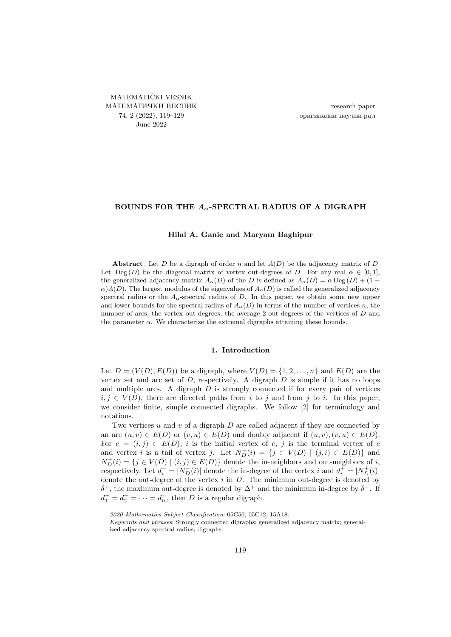<span id="page-0-0"></span>MATEMATIČKI VESNIK МАТЕМАТИЧКИ ВЕСНИК 74, 2 (2022), [119–](#page-0-0)[129](#page-10-0) June 2022

research paper оригинални научни рад

## BOUNDS FOR THE  $A_{\alpha}$ -SPECTRAL RADIUS OF A DIGRAPH

## Hilal A. Ganie and Maryam Baghipur

Abstract. Let D be a digraph of order n and let  $A(D)$  be the adjacency matrix of D. Let Deg (D) be the diagonal matrix of vertex out-degrees of D. For any real  $\alpha \in [0,1]$ , the generalized adjacency matrix  $A_{\alpha}(D)$  of the D is defined as  $A_{\alpha}(D) = \alpha \text{Deg}(D) + (1 \alpha$ )A(D). The largest modulus of the eigenvalues of  $A_{\alpha}(D)$  is called the generalized adjacency spectral radius or the  $A_{\alpha}$ -spectral radius of D. In this paper, we obtain some new upper and lower bounds for the spectral radius of  $A_{\alpha}(D)$  in terms of the number of vertices n, the number of arcs, the vertex out-degrees, the average 2-out-degrees of the vertices of D and the parameter  $\alpha$ . We characterize the extremal digraphs attaining these bounds.

### 1. Introduction

Let  $D = (V(D), E(D))$  be a digraph, where  $V(D) = \{1, 2, \ldots, n\}$  and  $E(D)$  are the vertex set and arc set of  $D$ , respectively. A digraph  $D$  is simple if it has no loops and multiple arcs. A digraph  $D$  is strongly connected if for every pair of vertices  $i, j \in V(D)$ , there are directed paths from i to j and from j to i. In this paper, we consider finite, simple connected digraphs. We follow [\[2\]](#page-10-1) for terminology and notations.

Two vertices  $u$  and  $v$  of a digraph  $D$  are called adjacent if they are connected by an arc  $(u, v) \in E(D)$  or  $(v, u) \in E(D)$  and doubly adjacent if  $(u, v), (v, u) \in E(D)$ . For  $e = (i, j) \in E(D)$ , i is the initial vertex of e, j is the terminal vertex of e and vertex i is a tail of vertex j. Let  $N_D^-(i) = \{j \in V(D) \mid (j,i) \in E(D)\}\$ and  $N_{D}^{+}(i) = \{j \in V(D) \mid (i, j) \in E(D)\}\$ denote the in-neighbors and out-neighbors of i, respectively. Let  $d_i^- = |N_D^-(i)|$  denote the in-degree of the vertex i and  $d_i^+ = |N_D^+(i)|$ denote the out-degree of the vertex  $i$  in  $D$ . The minimum out-degree is denoted by  $\delta^+$ , the maximum out-degree is denoted by  $\Delta^+$  and the minimum in-degree by  $\delta^-$ . If  $d_1^+ = d_2^+ = \cdots = d_n^+$ , then D is a regular digraph.

<sup>2020</sup> Mathematics Subject Classification: 05C50, 05C12, 15A18.

Keywords and phrases: Strongly connected digraphs; generalized adjacency matrix; generalized adjacency spectral radius; digraphs.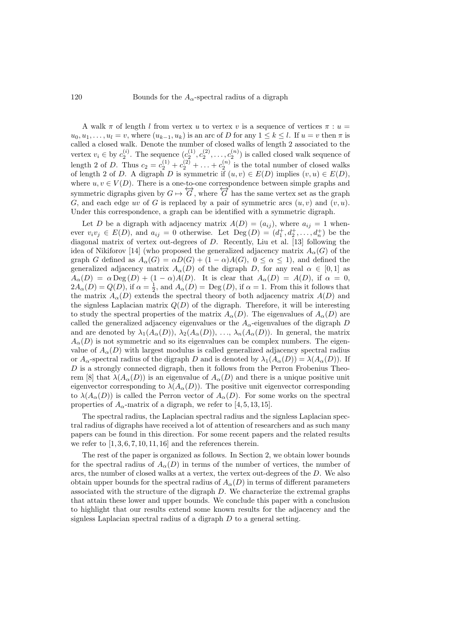A walk  $\pi$  of length l from vertex u to vertex v is a sequence of vertices  $\pi : u =$  $u_0, u_1, \ldots, u_l = v$ , where  $(u_{k-1}, u_k)$  is an arc of D for any  $1 \leq k \leq l$ . If  $u = v$  then  $\pi$  is called a closed walk. Denote the number of closed walks of length 2 associated to the vertex  $v_i \in$  by  $c_2^{(i)}$ . The sequence  $(c_2^{(1)}, c_2^{(2)}, \ldots, c_2^{(n)})$  is called closed walk sequence of length 2 of D. Thus  $c_2 = c_2^{(1)} + c_2^{(2)} + \ldots + c_2^{(n)}$  is the total number of closed walks of length 2 of D. A digraph D is symmetric if  $(u, v) \in E(D)$  implies  $(v, u) \in E(D)$ , where  $u, v \in V(D)$ . There is a one-to-one correspondence between simple graphs and symmetric digraphs given by  $G \mapsto \overleftrightarrow{G}$ , where  $\overleftrightarrow{G}$  has the same vertex set as the graph G, and each edge uv of G is replaced by a pair of symmetric arcs  $(u, v)$  and  $(v, u)$ . Under this correspondence, a graph can be identified with a symmetric digraph.

Let D be a digraph with adjacency matrix  $A(D) = (a_{ij})$ , where  $a_{ij} = 1$  whenever  $v_i v_j \in E(D)$ , and  $a_{ij} = 0$  otherwise. Let  $\text{Deg}(D) = (d_1^+, d_2^+, \ldots, d_n^+)$  be the diagonal matrix of vertex out-degrees of D. Recently, Liu et al. [\[13\]](#page-10-2) following the idea of Nikiforov [\[14\]](#page-10-3) (who proposed the generalized adjacency matrix  $A_{\alpha}(G)$  of the graph G defined as  $A_{\alpha}(G) = \alpha D(G) + (1 - \alpha)A(G)$ ,  $0 \le \alpha \le 1$ , and defined the generalized adjacency matrix  $A_{\alpha}(D)$  of the digraph D, for any real  $\alpha \in [0,1]$  as  $A_{\alpha}(D) = \alpha \operatorname{Deg}(D) + (1 - \alpha)A(D)$ . It is clear that  $A_{\alpha}(D) = A(D)$ , if  $\alpha = 0$ ,  $2A_{\alpha}(D) = Q(D)$ , if  $\alpha = \frac{1}{2}$ , and  $A_{\alpha}(D) = \text{Deg}(D)$ , if  $\alpha = 1$ . From this it follows that the matrix  $A_{\alpha}(D)$  extends the spectral theory of both adjacency matrix  $A(D)$  and the signless Laplacian matrix  $Q(D)$  of the digraph. Therefore, it will be interesting to study the spectral properties of the matrix  $A_{\alpha}(D)$ . The eigenvalues of  $A_{\alpha}(D)$  are called the generalized adjacency eigenvalues or the  $A_{\alpha}$ -eigenvalues of the digraph D and are denoted by  $\lambda_1(A_\alpha(D))$ ,  $\lambda_2(A_\alpha(D))$ , ...,  $\lambda_n(A_\alpha(D))$ . In general, the matrix  $A_{\alpha}(D)$  is not symmetric and so its eigenvalues can be complex numbers. The eigenvalue of  $A_{\alpha}(D)$  with largest modulus is called generalized adjacency spectral radius or  $A_{\alpha}$ -spectral radius of the digraph D and is denoted by  $\lambda_1(A_{\alpha}(D)) = \lambda(A_{\alpha}(D))$ . If D is a strongly connected digraph, then it follows from the Perron Frobenius Theo-rem [\[8\]](#page-10-4) that  $\lambda(A_\alpha(D))$  is an eigenvalue of  $A_\alpha(D)$  and there is a unique positive unit eigenvector corresponding to  $\lambda(A_\alpha(D))$ . The positive unit eigenvector corresponding to  $\lambda(A_\alpha(D))$  is called the Perron vector of  $A_\alpha(D)$ . For some works on the spectral properties of  $A_{\alpha}$ -matrix of a digraph, we refer to [\[4,](#page-10-5) [5,](#page-10-6) [13,](#page-10-2) [15\]](#page-10-7).

The spectral radius, the Laplacian spectral radius and the signless Laplacian spectral radius of digraphs have received a lot of attention of researchers and as such many papers can be found in this direction. For some recent papers and the related results we refer to  $[1, 3, 6, 7, 10, 11, 16]$  $[1, 3, 6, 7, 10, 11, 16]$  $[1, 3, 6, 7, 10, 11, 16]$  $[1, 3, 6, 7, 10, 11, 16]$  $[1, 3, 6, 7, 10, 11, 16]$  $[1, 3, 6, 7, 10, 11, 16]$  $[1, 3, 6, 7, 10, 11, 16]$  and the references therein.

The rest of the paper is organized as follows. In Section [2,](#page-2-0) we obtain lower bounds for the spectral radius of  $A_{\alpha}(D)$  in terms of the number of vertices, the number of arcs, the number of closed walks at a vertex, the vertex out-degrees of the D. We also obtain upper bounds for the spectral radius of  $A_{\alpha}(D)$  in terms of different parameters associated with the structure of the digraph  $D$ . We characterize the extremal graphs that attain these lower and upper bounds. We conclude this paper with a conclusion to highlight that our results extend some known results for the adjacency and the signless Laplacian spectral radius of a digraph  $D$  to a general setting.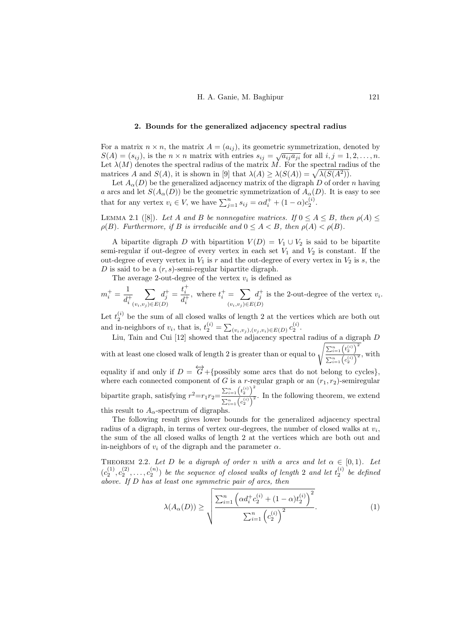#### 2. Bounds for the generalized adjacency spectral radius

<span id="page-2-0"></span>For a matrix  $n \times n$ , the matrix  $A = (a_{ij})$ , its geometric symmetrization, denoted by  $S(A) = (s_{ij})$ , is the  $n \times n$  matrix with entries  $s_{ij} = \sqrt{a_{ij}a_{ji}}$  for all  $i, j = 1, 2, ..., n$ . Let  $\lambda(M)$  denotes the spectral radius of the matrix M. For the spectral radius of the matrices A and  $S(A)$ , it is shown in [\[9\]](#page-10-15) that  $\lambda(A) \geq \lambda(S(A)) = \sqrt{\lambda(S(A^2))}$ .

Let  $A_{\alpha}(D)$  be the generalized adjacency matrix of the digraph D of order n having a arcs and let  $S(A_\alpha(D))$  be the geometric symmetrization of  $A_\alpha(D)$ . It is easy to see that for any vertex  $v_i \in V$ , we have  $\sum_{j=1}^n s_{ij} = \alpha d_i^+ + (1 - \alpha) c_2^{(i)}$ .

<span id="page-2-2"></span>LEMMA 2.1 ([\[8\]](#page-10-4)). Let A and B be nonnegative matrices. If  $0 \le A \le B$ , then  $\rho(A) \le$  $\rho(B)$ . Furthermore, if B is irreducible and  $0 \leq A < B$ , then  $\rho(A) < \rho(B)$ .

A bipartite digraph D with bipartition  $V(D) = V_1 \cup V_2$  is said to be bipartite semi-regular if out-degree of every vertex in each set  $V_1$  and  $V_2$  is constant. If the out-degree of every vertex in  $V_1$  is r and the out-degree of every vertex in  $V_2$  is s, the D is said to be a  $(r, s)$ -semi-regular bipartite digraph.

The average 2-out-degree of the vertex  $v_i$  is defined as

 $m_i^+ = \frac{1}{1}$  $d_i^+$  $\sum$  $(v_i,v_j) \in E(D)$  $d_j^+ = \frac{t_i^+}{4}$  $d_i^+$ , where  $t_i^+ = \sum_i$  $(v_i,v_j) \in E(D)$  $d_j^+$  is the 2-out-degree of the vertex  $v_i$ .

Let  $t_2^{(i)}$  be the sum of all closed walks of length 2 at the vertices which are both out and in-neighbors of  $v_i$ , that is,  $t_2^{(i)} = \sum_{(v_i, v_j), (v_j, v_i) \in E(D)} c_2^{(i)}$ .

Liu, Tain and Cui [\[12\]](#page-10-16) showed that the adjacency spectral radius of a digraph D with at least one closed walk of length 2 is greater than or equal to  $\sqrt{\frac{\sum_{i=1}^{n} (t_i^{(i)})^2}{(t_i^{(i)})^2}}$  $\frac{\sum_{i=1}^{n} {2 \choose 2}}{\sum_{i=1}^{n} {c_i^{(i)}}^2}$ , with equality if and only if  $D = \overleftrightarrow{G} + \{\text{possibly some arcs that do not belong to cycles}\},\$ where each connected component of G is a r-regular graph or an  $(r_1, r_2)$ -semiregular bipartite graph, satisfying  $r^2 = r_1 r_2 = \frac{\sum_{i=1}^n (t_i^{\{i\}})^2}{\sum_{i=1}^n (t_i^{\{i\}})^2}$  $\frac{\sum_{i=1}^{n-1} \binom{n}{2}}{\sum_{i=1}^{n} \binom{c_i^{(i)}}{2}}$ . In the following theorem, we extend this result to  $A_{\alpha}$ -spectrum of digraphs.

The following result gives lower bounds for the generalized adjacency spectral radius of a digraph, in terms of vertex our-degrees, the number of closed walks at  $v_i$ , the sum of the all closed walks of length 2 at the vertices which are both out and in-neighbors of  $v_i$  of the digraph and the parameter  $\alpha$ .

<span id="page-2-3"></span>THEOREM 2.2. Let D be a digraph of order n with a arcs and let  $\alpha \in [0,1)$ . Let  $(c_2^{(1)}, c_2^{(2)}, \ldots, c_2^{(n)})$  be the sequence of closed walks of length 2 and let  $t_2^{(i)}$  be defined above. If D has at least one symmetric pair of arcs, then

<span id="page-2-1"></span>
$$
\lambda(A_{\alpha}(D)) \ge \sqrt{\frac{\sum_{i=1}^{n} \left(\alpha d_{i}^{+} c_{2}^{(i)} + (1 - \alpha) t_{2}^{(i)}\right)^{2}}{\sum_{i=1}^{n} \left(c_{2}^{(i)}\right)^{2}}}.
$$
\n(1)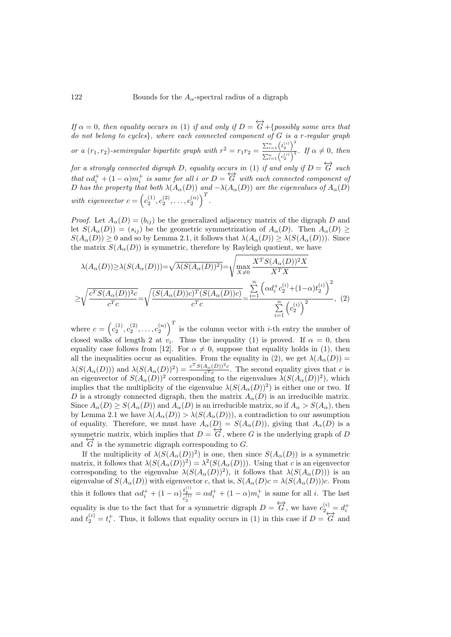If  $\alpha = 0$ , then equality occurs in [\(1\)](#page-2-1) if and only if  $D = \overleftrightarrow{G} + \{possibly some arcs that$ do not belong to cycles}, where each connected component of  $G$  is a r-regular graph or a  $(r_1, r_2)$ -semiregular bipartite graph with  $r^2 = r_1 r_2 = \frac{\sum_{i=1}^n (t_i^{(i)})^2}{\sum_{i=1}^n (t_i^{(i)})^2}$  $\frac{\sum_{i=1}^{n} {2 \choose 2}}{\sum_{i=1}^{n} {c_i^{(i)}}^2}$ . If  $\alpha \neq 0$ , then for a strongly connected digraph D, equality occurs in [\(1\)](#page-2-1) if and only if  $D = \overleftrightarrow{G}$  such that  $\alpha d_i^+ + (1 - \alpha) m_i^+$  is same for all i or  $D = \overleftrightarrow{G}$  with each connected component of D has the property that both  $\lambda(A_\alpha(D))$  and  $-\lambda(A_\alpha(D))$  are the eigenvalues of  $A_\alpha(D)$ with eigenvector  $c = (c_2^{(1)}, c_2^{(2)}, \dots, c_2^{(n)})^T$ .

*Proof.* Let  $A_{\alpha}(D) = (b_{ij})$  be the generalized adjacency matrix of the digraph D and let  $S(A_\alpha(D)) = (s_{ij})$  be the geometric symmetrization of  $A_\alpha(D)$ . Then  $A_\alpha(D) \ge$  $S(A_\alpha(D)) \geq 0$  and so by Lemma [2.1,](#page-2-2) it follows that  $\lambda(A_\alpha(D)) \geq \lambda(S(A_\alpha(D)))$ . Since the matrix  $S(A_\alpha(D))$  is symmetric, therefore by Rayleigh quotient, we have

<span id="page-3-0"></span>
$$
\lambda(A_{\alpha}(D)) \ge \lambda(S(A_{\alpha}(D))) = \sqrt{\lambda(S(A_{\alpha}(D))^2)} = \sqrt{\max_{X \ne 0} \frac{X^T S(A_{\alpha}(D))^2 X}{X^T X}}
$$

$$
\ge \sqrt{\frac{c^T S(A_{\alpha}(D))^2 c}{c^T c}} = \sqrt{\frac{(S(A_{\alpha}(D))c)^T (S(A_{\alpha}(D))c)}{c^T c}} = \frac{\sum_{i=1}^n (\alpha d_i^+ c_2^{(i)} + (1 - \alpha) t_2^{(i)})^2}{\sum_{i=1}^n (c_2^{(i)})^2}, \quad (2)
$$

where  $c = (c_2^{(1)}, c_2^{(2)}, \ldots, c_2^{(n)})^T$  is the column vector with *i*-th entry the number of closed walks of length 2 at  $v_i$ . Thus the inequality [\(1\)](#page-2-1) is proved. If  $\alpha = 0$ , then equality case follows from [\[12\]](#page-10-16). For  $\alpha \neq 0$ , suppose that equality holds in [\(1\)](#page-2-1), then all the inequalities occur as equalities. From the equality in [\(2\)](#page-3-0), we get  $\lambda(A_{\alpha}(D)) =$  $\lambda(S(A_\alpha(D)))$  and  $\lambda(S(A_\alpha(D))^2) = \frac{c^T S(A_\alpha(D))^2 c}{c^T c}$ . The second equality gives that c is an eigenvector of  $S(A_\alpha(D))^2$  corresponding to the eigenvalues  $\lambda(S(A_\alpha(D))^2)$ , which implies that the multiplicity of the eigenvalue  $\lambda(S(A_\alpha(D))^2)$  is either one or two. If D is a strongly connected digraph, then the matrix  $A_{\alpha}(D)$  is an irreducible matrix. Since  $A_{\alpha}(D) \geq S(A_{\alpha}(D))$  and  $A_{\alpha}(D)$  is an irreducible matrix, so if  $A_{\alpha} > S(A_{\alpha})$ , then by Lemma [2.1](#page-2-2) we have  $\lambda(A_\alpha(D)) > \lambda(S(A_\alpha(D)))$ , a contradiction to our assumption of equality. Therefore, we must have  $A_{\alpha}(D) = S(A_{\alpha}(D))$ , giving that  $A_{\alpha}(D)$  is a symmetric matrix, which implies that  $D = G$ , where G is the underlying graph of D and  $\overline{G}$  is the symmetric digraph corresponding to G.

If the multiplicity of  $\lambda(S(A_\alpha(D))^2)$  is one, then since  $S(A_\alpha(D))$  is a symmetric matrix, it follows that  $\lambda(S(A_\alpha(D))^2) = \lambda^2(S(A_\alpha(D)))$ . Using that c is an eigenvector corresponding to the eigenvalue  $\lambda(S(A_\alpha(D))^2)$ , it follows that  $\lambda(S(A_\alpha(D)))$  is an eigenvalue of  $S(A_\alpha(D))$  with eigenvector c, that is,  $S(A_\alpha(D)c = \lambda(S(A_\alpha(D)))c$ . From this it follows that  $\alpha d_i^+ + (1 - \alpha) \frac{t_2^{(i)}}{c_2^{(i)}} = \alpha d_i^+ + (1 - \alpha) m_i^+$  is same for all *i*. The last equality is due to the fact that for a symmetric digraph  $D = \overleftrightarrow{G}$ , we have  $c_2^{(i)} = d_i^+$ and  $t_2^{(i)} = t_i^+$ . Thus, it follows that equality occurs in [\(1\)](#page-2-1) in this case if  $D = \overleftrightarrow{G}$  and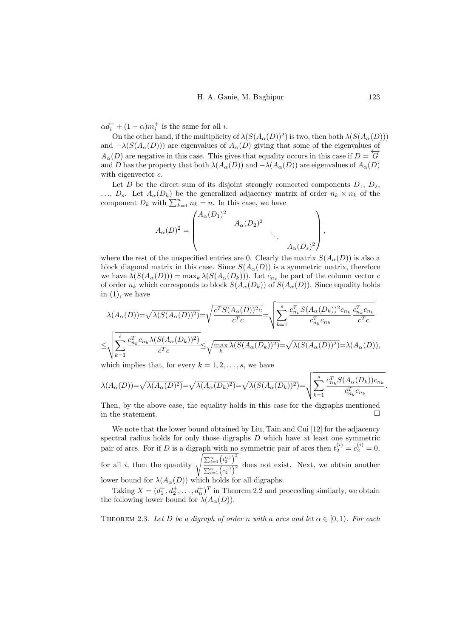$\alpha d_i^+ + (1 - \alpha) m_i^+$  is the same for all *i*.

On the other hand, if the multiplicity of  $\lambda(S(A_\alpha(D))^2)$  is two, then both  $\lambda(S(A_\alpha(D)))$ and  $-\lambda(S(A_\alpha(D)))$  are eigenvalues of  $A_\alpha(D)$  giving that some of the eigenvalues of  $A_{\alpha}(D)$  are negative in this case. This gives that equality occurs in this case if  $D = \overline{G}$ . and D has the property that both  $\lambda(A_\alpha(D))$  and  $-\lambda(A_\alpha(D))$  are eigenvalues of  $A_\alpha(D)$ with eigenvector  $c$ .

Let D be the direct sum of its disjoint strongly connected components  $D_1$ ,  $D_2$ ,  $\ldots, D_s$ . Let  $A_{\alpha}(D_k)$  be the generalized adjacency matrix of order  $n_k \times n_k$  of the component  $D_k$  with  $\sum_{k=1}^n n_k = n$ . In this case, we have

$$
A_{\alpha}(D)^2 = \begin{pmatrix} A_{\alpha}(D_1)^2 & & & \\ & A_{\alpha}(D_2)^2 & & \\ & & \ddots & \\ & & & A_{\alpha}(D_s)^2 \end{pmatrix},
$$

where the rest of the unspecified entries are 0. Clearly the matrix  $S(A_{\alpha}(D))$  is also a block diagonal matrix in this case. Since  $S(A_{\alpha}(D))$  is a symmetric matrix, therefore we have  $\lambda(S(A_{\alpha}(D))) = \max_k \lambda(S(A_{\alpha}(D_k)))$ . Let  $c_{n_k}$  be part of the column vector c of order  $n_k$  which corresponds to block  $S(A_\alpha(D_k))$  of  $S(A_\alpha(D))$ . Since equality holds in  $(1)$ , we have

$$
\lambda(A_{\alpha}(D)) = \sqrt{\lambda(S(A_{\alpha}(D))^{2})} = \sqrt{\frac{c^{T}S(A_{\alpha}(D))^{2}c}{c^{T}c}} = \sqrt{\sum_{k=1}^{s} \frac{c_{n_{k}}^{T}S(A_{\alpha}(D_{k}))^{2}c_{n_{k}}}{c_{n_{k}}^{T}c_{n_{k}}} \frac{c_{n_{k}}^{T}c_{n_{k}}}{c^{T}c}}
$$

$$
\leq \sqrt{\sum_{k=1}^{s} \frac{c_{n_{k}}^{T}c_{n_{k}}\lambda(S(A_{\alpha}(D_{k}))^{2})}{c^{T}c}} \leq \sqrt{\max_{k} \lambda(S(A_{\alpha}(D_{k}))^{2})} = \sqrt{\lambda(S(A_{\alpha}(D))^{2})} = \lambda(A_{\alpha}(D)),
$$

which implies that, for every  $k = 1, 2, \ldots, s$ , we have

$$
\lambda(A_{\alpha}(D)) = \sqrt{\lambda(A_{\alpha}(D)^2)} = \sqrt{\lambda(A_{\alpha}(D_k)^2)} = \sqrt{\lambda(S(A_{\alpha}(D_k))^2)} = \sqrt{\sum_{k=1}^{s} \frac{c_{n_k}^T S(A_{\alpha}(D_k)) c_{n_k}}{c_{n_k}^T c_{n_k}}}
$$

Then, by the above case, the equality holds in this case for the digraphs mentioned in the statement. □

We note that the lower bound obtained by Liu, Tain and Cui [\[12\]](#page-10-16) for the adjacency spectral radius holds for only those digraphs  $D$  which have at least one symmetric pair of arcs. For if D is a digraph with no symmetric pair of arcs then  $t_2^{(i)} = c_2^{(i)} = 0$ , for all i, then the quantity  $\sqrt{\frac{\sum_{i=1}^{n} (t_2^{(i)})^2}{\sum_{i=1}^{n} (t_2^{(i)})^2}}$  $\frac{\sum_{i=1}^{n} (n_i^2)}{\sum_{i=1}^{n} (c_i^2)^2}$  does not exist. Next, we obtain another lower bound for  $\lambda(A_\alpha(D))$  which holds for all digraphs.

Taking  $X = (d_1^+, d_2^+, \dots, d_n^+)^T$  in Theorem [2.2](#page-2-3) and proceeding similarly, we obtain the following lower bound for  $\lambda(A_\alpha(D)).$ 

THEOREM 2.3. Let D be a digraph of order n with a arcs and let  $\alpha \in [0,1)$ . For each

.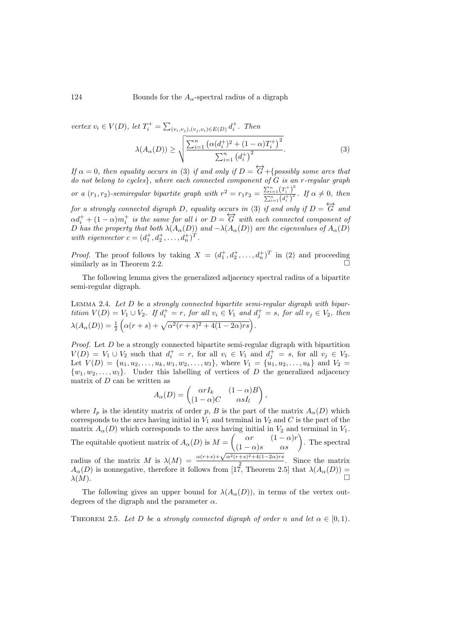124 Bounds for the  $A_{\alpha}$ -spectral radius of a digraph

<span id="page-5-0"></span>vertex  $v_i \in V(D)$ , let  $T_i^+ = \sum_{(v_i, v_j), (v_j, v_i) \in E(D)} d_i^+$ . Then  $\lambda(A_{\alpha}(D)) \geq \sqrt{\frac{\sum_{i=1}^{n} (\alpha(d_i^+)^2 + (1-\alpha)T_i^+)^2}{\sum_{i=1}^{n} (\alpha(d_i^+)^2}}$  $\sum_{i=1}^{n} (d_i^{\dagger})^2$ . (3)

If  $\alpha = 0$ , then equality occurs in [\(3\)](#page-5-0) if and only if  $D = \overleftrightarrow{G} + \{possibly some arcs that$ do not belong to cycles}, where each connected component of G is an r-regular graph or a  $(r_1, r_2)$ -semiregular bipartite graph with  $r^2 = r_1 r_2 = \frac{\sum_{i=1}^{n} (T_i^+)}{\sum_{i=1}^{n} (J_i^+)}$  $\frac{\sum_{i=1}^{n} (f_i)}{\sum_{i=1}^{n} (d_i^+)^2}$ . If  $\alpha \neq 0$ , then for a strongly connected digraph D, equality occurs in [\(3\)](#page-5-0) if and only if  $D = \overleftrightarrow{G}$  and  $\alpha d_i^+ + (1 - \alpha)m_i^+$  is the same for all i or  $D = \overline{G}$  with each connected component of D has the property that both  $\lambda(A_\alpha(D))$  and  $-\lambda(A_\alpha(D))$  are the eigenvalues of  $A_\alpha(D)$ with eigenvector  $c = (d_1^+, d_2^+, \ldots, d_n^+)^T$ .

*Proof.* The proof follows by taking  $X = (d_1^+, d_2^+, \ldots, d_n^+)^T$  in [\(2\)](#page-3-0) and proceeding similarly as in Theorem  $2.2$ .

The following lemma gives the generalized adjacency spectral radius of a bipartite semi-regular digraph.

<span id="page-5-1"></span>LEMMA 2.4. Let  $D$  be a strongly connected bipartite semi-regular digraph with bipartition  $V(D) = V_1 \cup V_2$ . If  $d_i^+ = r$ , for all  $v_i \in V_1$  and  $d_j^+ = s$ , for all  $v_j \in V_2$ , then  $\lambda(A_{\alpha}(D)) = \frac{1}{2} \left( \alpha(r+s) + \sqrt{\alpha^2(r+s)^2 + 4(1-2\alpha)rs} \right).$ 

*Proof.* Let  $D$  be a strongly connected bipartite semi-regular digraph with bipartition  $V(D) = V_1 \cup V_2$  such that  $d_i^+ = r$ , for all  $v_i \in V_1$  and  $d_j^+ = s$ , for all  $v_j \in V_2$ . Let  $V(D) = \{u_1, u_2, \ldots, u_k, w_1, w_2, \ldots, w_l\}$ , where  $V_1 = \{u_1, u_2, \ldots, u_k\}$  and  $V_2 =$  $\{w_1, w_2, \ldots, w_l\}$ . Under this labelling of vertices of D the generalized adjacency matrix of  $D$  can be written as

$$
A_{\alpha}(D) = \begin{pmatrix} \alpha rI_k & (1-\alpha)B \\ (1-\alpha)C & \alpha sI_l \end{pmatrix},
$$

where  $I_p$  is the identity matrix of order p, B is the part of the matrix  $A_\alpha(D)$  which corresponds to the arcs having initial in  $V_1$  and terminal in  $V_2$  and C is the part of the matrix  $A_{\alpha}(D)$  which corresponds to the arcs having initial in  $V_2$  and terminal in  $V_1$ . The equitable quotient matrix of  $A_{\alpha}(D)$  is  $M = \begin{pmatrix} \alpha r & (1-\alpha)r \\ (1-\alpha)s & \alpha s \end{pmatrix}$ . The spectral radius of the matrix M is  $\lambda(M) = \frac{\alpha(r+s) + \sqrt{\alpha^2(r+s)^2 + 4(1-2\alpha)rs}}{2}$  $\frac{+s+4(1-2\alpha)^{1/8}}{2}$ . Since the matrix  $A_{\alpha}(D)$  is nonnegative, therefore it follows from [\[17,](#page-10-17) Theorem 2.5] that  $\lambda(A_{\alpha}(D)) =$  $\lambda(M)$ .

The following gives an upper bound for  $\lambda(A_\alpha(D))$ , in terms of the vertex outdegrees of the digraph and the parameter  $\alpha$ .

<span id="page-5-2"></span>THEOREM 2.5. Let D be a strongly connected digraph of order n and let  $\alpha \in [0,1)$ .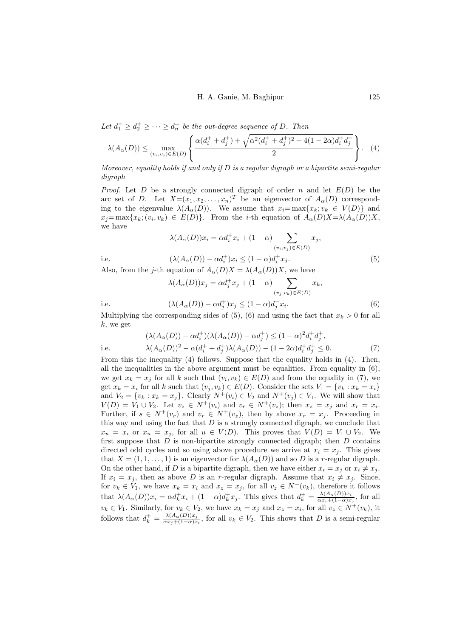Let  $d_1^+ \geq d_2^+ \geq \cdots \geq d_n^+$  be the out-degree sequence of D. Then

<span id="page-6-2"></span>
$$
\lambda(A_{\alpha}(D)) \leq \max_{(v_i, v_j) \in E(D)} \left\{ \frac{\alpha(d_i^+ + d_j^+) + \sqrt{\alpha^2(d_i^+ + d_j^+)^2 + 4(1 - 2\alpha)d_i^+ d_j^+}}{2} \right\}.
$$
 (4)

Moreover, equality holds if and only if  $D$  is a regular digraph or a bipartite semi-regular digraph

*Proof.* Let D be a strongly connected digraph of order n and let  $E(D)$  be the arc set of D. Let  $X=(x_1, x_2, \ldots, x_n)^T$  be an eigenvector of  $A_\alpha(D)$  corresponding to the eigenvalue  $\lambda(A_\alpha(D))$ . We assume that  $x_i = \max\{x_k; v_k \in V(D)\}\$  and  $x_j = \max\{x_k; (v_i, v_k) \in E(D)\}.$  From the *i*-th equation of  $A_\alpha(D)X = \lambda(A_\alpha(D))X$ , we have

$$
\lambda(A_{\alpha}(D))x_i = \alpha d_i^+ x_i + (1 - \alpha) \sum_{(v_i, v_j) \in E(D)} x_j,
$$
  
i.e. 
$$
(\lambda(A_{\alpha}(D)) - \alpha d_i^+) x_i \le (1 - \alpha) d_i^+ x_j.
$$
 (5)

<span id="page-6-0"></span>

Also, from the *j*-th equation of  $A_{\alpha}(D)X = \lambda(A_{\alpha}(D))X$ , we have

<span id="page-6-1"></span>
$$
\lambda(A_{\alpha}(D))x_j = \alpha d_j^+ x_j + (1 - \alpha) \sum_{(v_j, v_k) \in E(D)} x_k,
$$
  
i.e. 
$$
(\lambda(A_{\alpha}(D)) - \alpha d_j^+) x_j \le (1 - \alpha) d_j^+ x_i.
$$
 (6)

Multiplying the corresponding sides of  $(5)$ ,  $(6)$  and using the fact that  $x_k > 0$  for all  $k$ , we get

<span id="page-6-3"></span>
$$
(\lambda(A_{\alpha}(D)) - \alpha d_i^+) (\lambda(A_{\alpha}(D)) - \alpha d_j^+) \le (1 - \alpha)^2 d_i^+ d_j^+,
$$
  
i.e. 
$$
\lambda(A_{\alpha}(D))^2 - \alpha (d_i^+ + d_j^+) \lambda(A_{\alpha}(D)) - (1 - 2\alpha) d_i^+ d_j^+ \le 0.
$$
 (7)

From this the inequality [\(4\)](#page-6-2) follows. Suppose that the equality holds in [\(4\)](#page-6-2). Then, all the inequalities in the above argument must be equalities. From equality in  $(6)$ , we get  $x_k = x_j$  for all k such that  $(v_i, v_k) \in E(D)$  and from the equality in [\(7\)](#page-6-3), we get  $x_k = x_i$  for all k such that  $(v_j, v_k) \in E(D)$ . Consider the sets  $V_1 = \{v_k : x_k = x_i\}$ and  $V_2 = \{v_k : x_k = x_j\}$ . Clearly  $N^+(v_i) \in V_2$  and  $N^+(v_j) \in V_1$ . We will show that  $V(D) = V_1 \cup V_2$ . Let  $v_z \in N^+(v_i)$  and  $v_r \in N^+(v_z)$ ; then  $x_z = x_j$  and  $x_r = x_i$ . Further, if  $s \in N^+(v_r)$  and  $v_r \in N^+(v_z)$ , then by above  $x_r = x_j$ . Proceeding in this way and using the fact that  $D$  is a strongly connected digraph, we conclude that  $x_u = x_i$  or  $x_u = x_j$ , for all  $u \in V(D)$ . This proves that  $V(D) = V_1 \cup V_2$ . We first suppose that  $D$  is non-bipartite strongly connected digraph; then  $D$  contains directed odd cycles and so using above procedure we arrive at  $x_i = x_j$ . This gives that  $X = (1, 1, \ldots, 1)$  is an eigenvector for  $\lambda(A_\alpha(D))$  and so D is a r-regular digraph. On the other hand, if D is a bipartite digraph, then we have either  $x_i = x_j$  or  $x_i \neq x_j$ . If  $x_i = x_j$ , then as above D is an r-regular digraph. Assume that  $x_i \neq x_j$ . Since, for  $v_k \in V_1$ , we have  $x_k = x_i$  and  $x_z = x_j$ , for all  $v_z \in N^+(v_k)$ , therefore it follows that  $\lambda(A_\alpha(D))x_i = \alpha d_k^+ x_i + (1-\alpha)d_k^+ x_j$ . This gives that  $d_k^+ = \frac{\lambda(A_\alpha(D))x_i}{\alpha x_i + (1-\alpha)x_i}$  $\frac{\lambda(A_{\alpha}(D))x_i}{\alpha x_i+(1-\alpha)x_j}$ , for all  $v_k \in V_1$ . Similarly, for  $v_k \in V_2$ , we have  $x_k = x_j$  and  $x_z = x_i$ , for all  $v_z \in N^+(v_k)$ , it follows that  $d_k^+ = \frac{\lambda(A_\alpha(D))x_j}{\alpha x_j + (1-\alpha)x_j}$  $\frac{\lambda(A_{\alpha}(D))x_j}{\alpha x_j+(1-\alpha)x_i}$ , for all  $v_k \in V_2$ . This shows that D is a semi-regular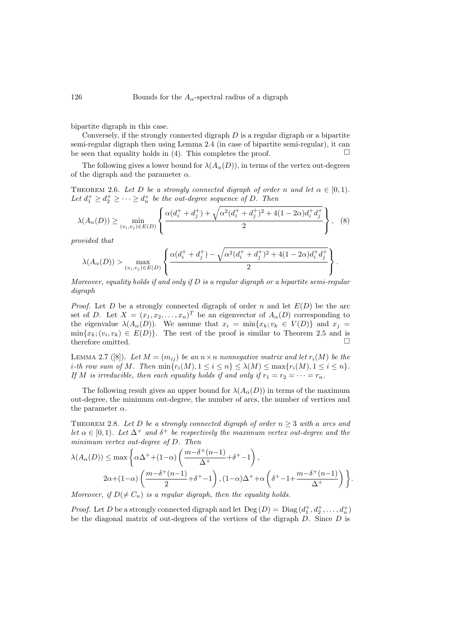bipartite digraph in this case.

Conversely, if the strongly connected digraph  $D$  is a regular digraph or a bipartite semi-regular digraph then using Lemma [2.4](#page-5-1) (in case of bipartite semi-regular), it can be seen that equality holds in [\(4\)](#page-6-2). This completes the proof.  $\Box$ 

The following gives a lower bound for  $\lambda(A_\alpha(D))$ , in terms of the vertex out-degrees of the digraph and the parameter  $\alpha$ .

THEOREM 2.6. Let D be a strongly connected digraph of order n and let  $\alpha \in [0,1)$ . Let  $d_1^+ \geq d_2^+ \geq \cdots \geq d_n^+$  be the out-degree sequence of D. Then

$$
\lambda(A_{\alpha}(D)) \ge \min_{(v_i, v_j) \in E(D)} \left\{ \frac{\alpha(d_i^+ + d_j^+) + \sqrt{\alpha^2(d_i^+ + d_j^+)^2 + 4(1 - 2\alpha)d_i^+ d_j^+}}{2} \right\}, \quad (8)
$$

provided that

$$
\lambda(A_{\alpha}(D)) > \max_{(v_i, v_j) \in E(D)} \left\{ \frac{\alpha(d_i^+ + d_j^+) - \sqrt{\alpha^2(d_i^+ + d_j^+)^2 + 4(1 - 2\alpha)d_i^+ d_j^+}}{2} \right\}.
$$

Moreover, equality holds if and only if  $D$  is a regular digraph or a bipartite semi-regular digraph

*Proof.* Let D be a strongly connected digraph of order n and let  $E(D)$  be the arc set of D. Let  $X = (x_1, x_2, \ldots, x_n)^T$  be an eigenvector of  $A_\alpha(D)$  corresponding to the eigenvalue  $\lambda(A_\alpha(D))$ . We assume that  $x_i = \min\{x_k; v_k \in V(D)\}\$  and  $x_j =$  $min\{x_k; (v_i, v_k) \in E(D)\}.$  The rest of the proof is similar to Theorem [2.5](#page-5-2) and is therefore omitted. □

<span id="page-7-0"></span>LEMMA 2.7 ([\[8\]](#page-10-4)). Let  $M = (m_{ij})$  be an  $n \times n$  nonnegative matrix and let  $r_i(M)$  be the i-th row sum of M. Then  $\min\{r_i(M), 1 \leq i \leq n\} \leq \lambda(M) \leq \max\{r_i(M), 1 \leq i \leq n\}.$ If M is irreducible, then each equality holds if and only if  $r_1 = r_2 = \cdots = r_n$ .

The following result gives an upper bound for  $\lambda(A_\alpha(D))$  in terms of the maximum out-degree, the minimum out-degree, the number of arcs, the number of vertices and the parameter  $\alpha$ .

<span id="page-7-1"></span>THEOREM 2.8. Let D be a strongly connected digraph of order  $n \geq 3$  with a arcs and let  $\alpha \in [0,1)$ . Let  $\Delta^+$  and  $\delta^+$  be respectively the maximum vertex out-degree and the minimum vertex out-degree of D. Then

$$
\lambda(A_{\alpha}(D)) \le \max \left\{ \alpha \Delta^{+} + (1 - \alpha) \left( \frac{m - \delta^{+}(n-1)}{\Delta^{+}} + \delta^{+} - 1 \right), \right\}
$$
  

$$
2\alpha + (1 - \alpha) \left( \frac{m - \delta^{+}(n-1)}{2} + \delta^{+} - 1 \right), (1 - \alpha) \Delta^{+} + \alpha \left( \delta^{+} - 1 + \frac{m - \delta^{+}(n-1)}{\Delta^{+}} \right) \right\}.
$$
  
Mence we find  $\alpha$  for  $\alpha$  is a result when the equality holds.

Moreover, if  $D(\neq C_n)$  is a regular digraph, then the equality holds.

*Proof.* Let D be a strongly connected digraph and let  $\text{Deg}(D) = \text{Diag}(d_1^+, d_2^+, \ldots, d_n^+)$ be the diagonal matrix of out-degrees of the vertices of the digraph  $D$ . Since  $D$  is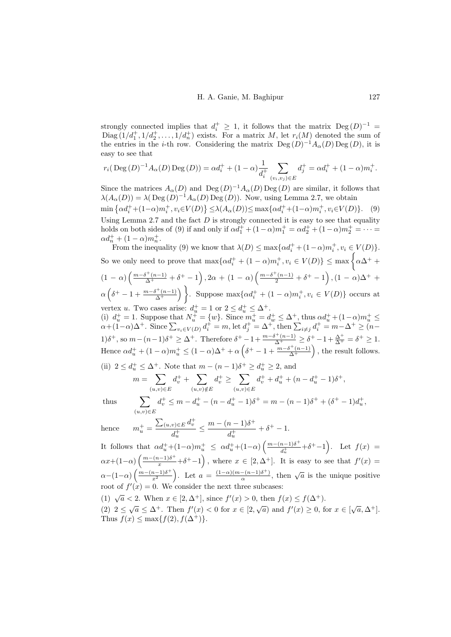strongly connected implies that  $d_i^+ \geq 1$ , it follows that the matrix  $\text{Deg}(D)^{-1} =$ Diag  $(1/d_1^+, 1/d_2^+, \ldots, 1/d_n^+)$  exists. For a matrix M, let  $r_i(M)$  denoted the sum of the entries in the *i*-th row. Considering the matrix  $\text{Deg}(D)^{-1}A_{\alpha}(D)\text{Deg}(D)$ , it is easy to see that

$$
r_i(\text{Deg}(D)^{-1}A_{\alpha}(D)\text{Deg}(D)) = \alpha d_i^+ + (1 - \alpha) \frac{1}{d_i^+} \sum_{(v_i, v_j) \in E} d_j^+ = \alpha d_i^+ + (1 - \alpha) m_i^+.
$$

<span id="page-8-0"></span>Since the matrices  $A_{\alpha}(D)$  and  $\text{Deg}(D)^{-1}A_{\alpha}(D)\text{Deg}(D)$  are similar, it follows that  $\lambda(A_\alpha(D)) = \lambda(\text{Deg}(D)^{-1}A_\alpha(D)\text{Deg}(D)).$  Now, using Lemma [2.7,](#page-7-0) we obtain min  $\{\alpha d_i^+ + (1-\alpha)m_i^+, v_i \in V(D)\}\leq \lambda(A_\alpha(D)) \leq \max\{\alpha d_i^+ + (1-\alpha)m_i^+, v_i \in V(D)\}.$  (9) Using Lemma [2.7](#page-7-0) and the fact  $D$  is strongly connected it is easy to see that equality holds on both sides of [\(9\)](#page-8-0) if and only if  $\alpha d_1^+ + (1 - \alpha)m_1^+ = \alpha d_2^+ + (1 - \alpha)m_2^+ = \cdots$  $\alpha d_n^+ + (1 - \alpha) m_n^+$ .

From the inequality [\(9\)](#page-8-0) we know that  $\lambda(D) \le \max\{\alpha d_i^+ + (1-\alpha)m_i^+, v_i \in V(D)\}.$ So we only need to prove that  $\max\{\alpha d_i^+ + (1-\alpha)m_i^+, v_i \in V(D)\}\leq \max\left\{\alpha\Delta^+ +$  $(1 - \alpha) \left( \frac{m - \delta^+(n-1)}{\Delta^+} + \delta^+ - 1 \right), 2\alpha + (1 - \alpha) \left( \frac{m - \delta^+(n-1)}{2} + \delta^+ - 1 \right), (1 - \alpha)\Delta^+ +$  $\alpha\left(\delta^+ - 1 + \frac{m-\delta^+(n-1)}{\Delta^+}\right)$  $\overline{\Delta^{+}}^{(n-1)}$  Ruppose max $\{\alpha d^{+}_{i} + (1-\alpha)m^{+}_{i}, v_{i} \in V(D)\}\)$  occurs at vertex *u*. Two cases arise:  $d_u^+ = 1$  or  $2 \le d_u^+ \le \Delta^+$ .

(i)  $d_u^+ = 1$ . Suppose that  $N_u^+ = \{w\}$ . Since  $m_u^+ = d_w^+ \leq \Delta^+$ , thus  $\alpha d_u^+ + (1 - \alpha)m_u^+ \leq \Delta^+$  $\alpha+(1-\alpha)\Delta^+$ . Since  $\sum_{v_i\in V(D)}d_i^+ = m$ , let  $d_j^+ = \Delta^+$ , then  $\sum_{i\neq j}d_i^+ = m-\Delta^+ \ge (n-\Delta^+)$ 1) $\delta^+$ , so  $m - (n-1)\delta^+ \geq \Delta^+$ . Therefore  $\delta^+ - 1 + \frac{m - \delta^+ (n-1)}{\Delta^+} \geq \delta^+ - 1 + \frac{\Delta^+}{\Delta^+} = \delta^+ \geq 1$ . Hence  $\alpha d_u^+ + (1 - \alpha) m_u^+ \le (1 - \alpha) \Delta^+ + \alpha \left( \delta^+ - 1 + \frac{m - \delta^+ (n-1)}{\Delta^+} \right)$  $\frac{\delta^+(n-1)}{\Delta^+}$ , the result follows.

(ii) 
$$
2 \le d_u^+ \le \Delta^+
$$
. Note that  $m - (n - 1)\delta^+ \ge d_u^+ \ge 2$ , and  
\n
$$
m = \sum_{(u,v)\in E} d_v^+ + \sum_{(u,v)\notin E} d_v^+ \ge \sum_{(u,v)\in E} d_v^+ + d_u^+ + (n - d_u^+ - 1)\delta^+,
$$

thus

$$
\sum_{(u,v)\in E} d_v^+ \le m - d_u^+ - (n - d_u^+ - 1)\delta^+ = m - (n - 1)\delta^+ + (\delta^+ - 1)d_u^+,
$$

hence 
$$
m_u^+ = \frac{\sum_{(u,v)\in E} d_v^+}{d_u^+} \le \frac{m - (n-1)\delta^+}{d_u^+} + \delta^+ - 1.
$$

It follows that  $\alpha d_u^+ + (1-\alpha)m_u^+ \leq \alpha d_u^+ + (1-\alpha)\left(\frac{m-(n-1)\delta^+}{d_u^+}\right)$  $\frac{n-1}{d_u^{+}} + \delta^{+} - 1$ . Let  $f(x) =$  $\alpha x+(1-\alpha)\left(\frac{m-(n-1)\delta^+}{x}+\delta^+-1\right)$ , where  $x\in[2,\Delta^+]$ . It is easy to see that  $f'(x)=$  $\alpha-(1-\alpha)\left(\frac{m-(n-1)\delta^+}{r^2}\right)$  $\left(\frac{(n-1)\delta^+}{x^2}\right)$ . Let  $a = \frac{(1-\alpha)(m-(n-1)\delta^+)}{\alpha}$  $\frac{-(n-1)\delta^+}{\alpha}$ , then  $\sqrt{a}$  is the unique positive root of  $f'(x) = 0$ . We consider the next three subcases:

(1) 
$$
\sqrt{a} < 2
$$
. When  $x \in [2, \Delta^+]$ , since  $f'(x) > 0$ , then  $f(x) \le f(\Delta^+)$ .

(2)  $2 \le \sqrt{a} \le \Delta^+$ . Then  $f'(x) < 0$  for  $x \in [2, \sqrt{a})$  and  $f'(x) \ge 0$ , for  $x \in [\sqrt{a}, \Delta^+]$ . Thus  $f(x) \leq \max\{f(2), f(\Delta^+)\}.$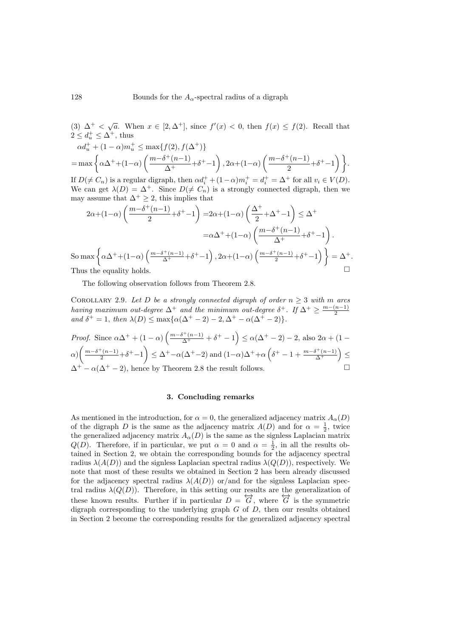(3)  $\Delta^+ < \sqrt{a}$ . When  $x \in [2, \Delta^+]$ , since  $f'(x) < 0$ , then  $f(x) \le f(2)$ . Recall that  $2 \le d_u^+ \le \Delta^+$ , thus  $\alpha d_u^+ + (1 - \alpha) m_u^+ \leq \max\{f(2), f(\Delta^+)\}$  $=\max\left\{\alpha\Delta^{+}+(1-\alpha)\left(\frac{m-\delta^{+}(n-1)}{\Delta^{+}}\right)\right\}$  $\frac{\delta^{+}(n-1)}{\Delta^{+}} + \delta^{+} - 1$ , 2 $\alpha + (1-\alpha) \left( \frac{m-\delta^{+}(n-1)}{2} \right)$  $\frac{1}{2}^{+(n-1)} + \delta^{+} - 1$  }. If  $D(\neq C_n)$  is a regular digraph, then  $\alpha d_i^+ + (1-\alpha)m_i^+ = d_i^+ = \Delta^+$  for all  $v_i \in V(D)$ . We can get  $\lambda(D) = \Delta^+$ . Since  $D(\neq C_n)$  is a strongly connected digraph, then we may assume that  $\Delta^+ \geq 2$ , this implies that  $2\alpha+(1-\alpha)\left(\frac{m-\delta^+(n-1)}{2}\right)$  $\left(\frac{(n-1)}{2} + \delta^{+} - 1\right) = 2\alpha + (1-\alpha)\left(\frac{\Delta^{+}}{2}\right)$  $\left(\frac{\Delta^{+}}{2} + \Delta^{+} - 1\right) \leq \Delta^{+}$  $=\alpha\Delta^{+}+(1-\alpha)\left(\frac{m-\delta^{+}(n-1)}{\Delta^{+}}\right)$  $\frac{\delta^+(n-1)}{\Delta^+} + \delta^+ - 1$ . So max  $\left\{\alpha\Delta^+ + (1-\alpha)\left(\frac{m-\delta^+(n-1)}{\Delta^+} + \delta^+ - 1\right), 2\alpha + (1-\alpha)\left(\frac{m-\delta^+(n-1)}{2} + \delta^+ - 1\right)\right\} = \Delta^+.$ 

Thus the equality holds.

The following observation follows from Theorem [2.8.](#page-7-1)

COROLLARY 2.9. Let D be a strongly connected digraph of order  $n \geq 3$  with m arcs having maximum out-degree  $\Delta^+$  and the minimum out-degree  $\delta^+$ . If  $\Delta^+ \geq \frac{m-(n-1)}{2}$ and  $\delta^+ = 1$ , then  $\lambda(D) \le \max{\alpha(\Delta^+ - 2) - 2, \Delta^+ - \alpha(\Delta^+ - 2)}$ .

*Proof.* Since 
$$
\alpha \Delta^+ + (1 - \alpha) \left( \frac{m - \delta^+ (n-1)}{\Delta^+} + \delta^+ - 1 \right) \le \alpha (\Delta^+ - 2) - 2
$$
, also  $2\alpha + (1 - \alpha) \left( \frac{m - \delta^+ (n-1)}{2} + \delta^+ - 1 \right) \le \Delta^+ - \alpha (\Delta^+ - 2)$  and  $(1 - \alpha) \Delta^+ + \alpha \left( \delta^+ - 1 + \frac{m - \delta^+ (n-1)}{\Delta^+} \right) \le \Delta^+ - \alpha (\Delta^+ - 2)$ , hence by Theorem 2.8 the result follows.

# 3. Concluding remarks

As mentioned in the introduction, for  $\alpha = 0$ , the generalized adjacency matrix  $A_{\alpha}(D)$ of the digraph D is the same as the adjacency matrix  $A(D)$  and for  $\alpha = \frac{1}{2}$ , twice the generalized adjacency matrix  $A_{\alpha}(D)$  is the same as the signless Laplacian matrix  $Q(D)$ . Therefore, if in particular, we put  $\alpha = 0$  and  $\alpha = \frac{1}{2}$ , in all the results obtained in Section 2, we obtain the corresponding bounds for the adjacency spectral radius  $\lambda(A(D))$  and the signless Laplacian spectral radius  $\lambda(Q(D))$ , respectively. We note that most of these results we obtained in Section 2 has been already discussed for the adjacency spectral radius  $\lambda(A(D))$  or/and for the signless Laplacian spectral radius  $\lambda(Q(D))$ . Therefore, in this setting our results are the generalization of these known results. Further if in particular  $D = \overleftrightarrow{G}$ , where  $\overleftrightarrow{G}$  is the symmetric digraph corresponding to the underlying graph  $G$  of  $D$ , then our results obtained in Section 2 become the corresponding results for the generalized adjacency spectral